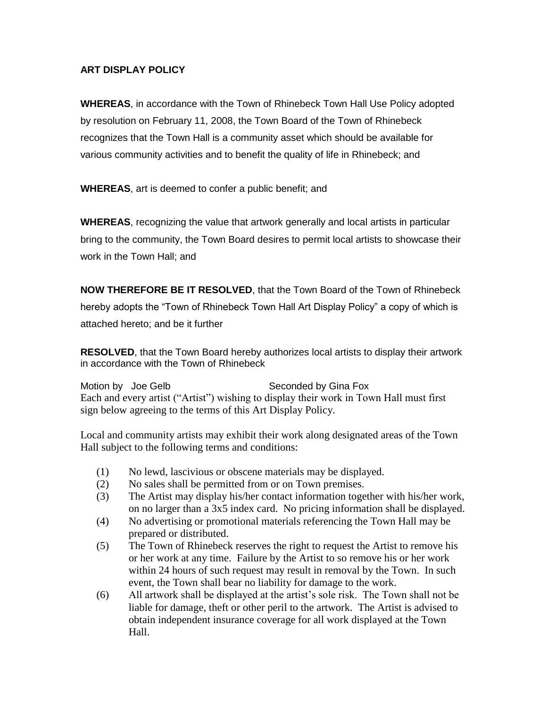## **ART DISPLAY POLICY**

**WHEREAS**, in accordance with the Town of Rhinebeck Town Hall Use Policy adopted by resolution on February 11, 2008, the Town Board of the Town of Rhinebeck recognizes that the Town Hall is a community asset which should be available for various community activities and to benefit the quality of life in Rhinebeck; and

**WHEREAS**, art is deemed to confer a public benefit; and

**WHEREAS**, recognizing the value that artwork generally and local artists in particular bring to the community, the Town Board desires to permit local artists to showcase their work in the Town Hall; and

**NOW THEREFORE BE IT RESOLVED**, that the Town Board of the Town of Rhinebeck hereby adopts the "Town of Rhinebeck Town Hall Art Display Policy" a copy of which is attached hereto; and be it further

**RESOLVED**, that the Town Board hereby authorizes local artists to display their artwork in accordance with the Town of Rhinebeck

Motion by Joe Gelb Seconded by Gina Fox Each and every artist ("Artist") wishing to display their work in Town Hall must first sign below agreeing to the terms of this Art Display Policy.

Local and community artists may exhibit their work along designated areas of the Town Hall subject to the following terms and conditions:

- (1) No lewd, lascivious or obscene materials may be displayed.
- (2) No sales shall be permitted from or on Town premises.
- (3) The Artist may display his/her contact information together with his/her work, on no larger than a 3x5 index card. No pricing information shall be displayed.
- (4) No advertising or promotional materials referencing the Town Hall may be prepared or distributed.
- (5) The Town of Rhinebeck reserves the right to request the Artist to remove his or her work at any time. Failure by the Artist to so remove his or her work within 24 hours of such request may result in removal by the Town. In such event, the Town shall bear no liability for damage to the work.
- (6) All artwork shall be displayed at the artist's sole risk. The Town shall not be liable for damage, theft or other peril to the artwork. The Artist is advised to obtain independent insurance coverage for all work displayed at the Town Hall.